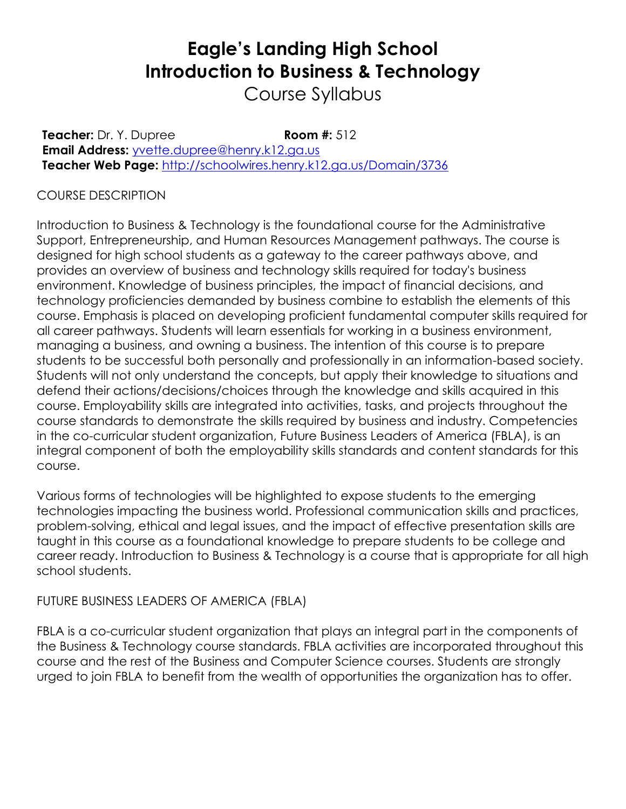# **Eagle's Landing High School Introduction to Business & Technology**

Course Syllabus

**Teacher:** Dr. Y. Dupree **Room #:** 512 **Email Address:** [yvette.dupree@henry.k12.ga.us](mailto:yvette.dupree@henry.k12.ga.us) **Teacher Web Page:** <http://schoolwires.henry.k12.ga.us/Domain/3736>

# COURSE DESCRIPTION

Introduction to Business & Technology is the foundational course for the Administrative Support, Entrepreneurship, and Human Resources Management pathways. The course is designed for high school students as a gateway to the career pathways above, and provides an overview of business and technology skills required for today's business environment. Knowledge of business principles, the impact of financial decisions, and technology proficiencies demanded by business combine to establish the elements of this course. Emphasis is placed on developing proficient fundamental computer skills required for all career pathways. Students will learn essentials for working in a business environment, managing a business, and owning a business. The intention of this course is to prepare students to be successful both personally and professionally in an information-based society. Students will not only understand the concepts, but apply their knowledge to situations and defend their actions/decisions/choices through the knowledge and skills acquired in this course. Employability skills are integrated into activities, tasks, and projects throughout the course standards to demonstrate the skills required by business and industry. Competencies in the co-curricular student organization, Future Business Leaders of America (FBLA), is an integral component of both the employability skills standards and content standards for this course.

Various forms of technologies will be highlighted to expose students to the emerging technologies impacting the business world. Professional communication skills and practices, problem-solving, ethical and legal issues, and the impact of effective presentation skills are taught in this course as a foundational knowledge to prepare students to be college and career ready. Introduction to Business & Technology is a course that is appropriate for all high school students.

### FUTURE BUSINESS LEADERS OF AMERICA (FBLA)

FBLA is a co-curricular student organization that plays an integral part in the components of the Business & Technology course standards. FBLA activities are incorporated throughout this course and the rest of the Business and Computer Science courses. Students are strongly urged to join FBLA to benefit from the wealth of opportunities the organization has to offer.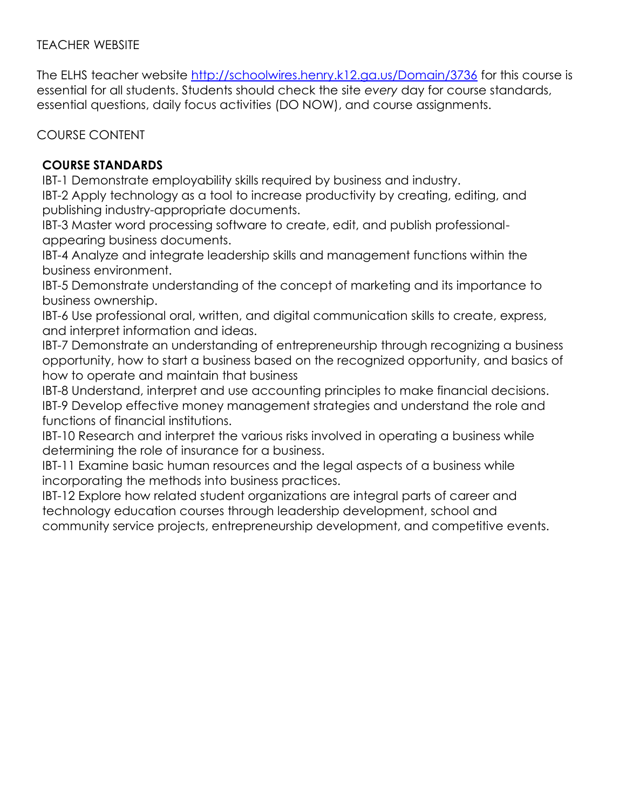## TEACHER WEBSITE

The ELHS teacher website<http://schoolwires.henry.k12.ga.us/Domain/3736> for this course is essential for all students. Students should check the site *every* day for course standards, essential questions, daily focus activities (DO NOW), and course assignments.

COURSE CONTENT

# **COURSE STANDARDS**

IBT-1 Demonstrate employability skills required by business and industry.

IBT-2 Apply technology as a tool to increase productivity by creating, editing, and publishing industry-appropriate documents.

IBT-3 Master word processing software to create, edit, and publish professionalappearing business documents.

IBT-4 Analyze and integrate leadership skills and management functions within the business environment.

IBT-5 Demonstrate understanding of the concept of marketing and its importance to business ownership.

IBT-6 Use professional oral, written, and digital communication skills to create, express, and interpret information and ideas.

IBT-7 Demonstrate an understanding of entrepreneurship through recognizing a business opportunity, how to start a business based on the recognized opportunity, and basics of how to operate and maintain that business

IBT-8 Understand, interpret and use accounting principles to make financial decisions. IBT-9 Develop effective money management strategies and understand the role and functions of financial institutions.

IBT-10 Research and interpret the various risks involved in operating a business while determining the role of insurance for a business.

IBT-11 Examine basic human resources and the legal aspects of a business while incorporating the methods into business practices.

IBT-12 Explore how related student organizations are integral parts of career and technology education courses through leadership development, school and community service projects, entrepreneurship development, and competitive events.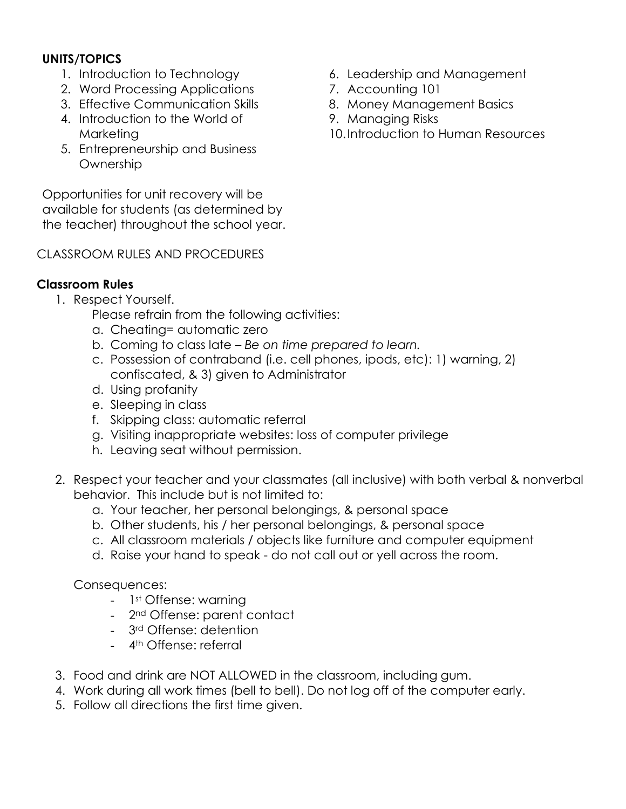## **UNITS/TOPICS**

- 1. Introduction to Technology
- 2. Word Processing Applications
- 3. Effective Communication Skills
- 4. Introduction to the World of Marketing
- 5. Entrepreneurship and Business **Ownership**

Opportunities for unit recovery will be available for students (as determined by the teacher) throughout the school year.

# CLASSROOM RULES AND PROCEDURES

# **Classroom Rules**

- 1. Respect Yourself.
	- Please refrain from the following activities:
	- a. Cheating= automatic zero
	- b. Coming to class late *Be on time prepared to learn.*
	- c. Possession of contraband (i.e. cell phones, ipods, etc): 1) warning, 2) confiscated, & 3) given to Administrator
	- d. Using profanity
	- e. Sleeping in class
	- f. Skipping class: automatic referral
	- g. Visiting inappropriate websites: loss of computer privilege
	- h. Leaving seat without permission.
- 2. Respect your teacher and your classmates (all inclusive) with both verbal & nonverbal behavior. This include but is not limited to:
	- a. Your teacher, her personal belongings, & personal space
	- b. Other students, his / her personal belongings, & personal space
	- c. All classroom materials / objects like furniture and computer equipment
	- d. Raise your hand to speak do not call out or yell across the room.

Consequences:

- 1st Offense: warning
- 2<sup>nd</sup> Offense: parent contact
- 3rd Offense: detention
- 4<sup>th</sup> Offense: referral
- 3. Food and drink are NOT ALLOWED in the classroom, including gum.
- 4. Work during all work times (bell to bell). Do not log off of the computer early.
- 5. Follow all directions the first time given.
- 6. Leadership and Management
- 7. Accounting 101
- 8. Money Management Basics
- 9. Managing Risks
- 10.Introduction to Human Resources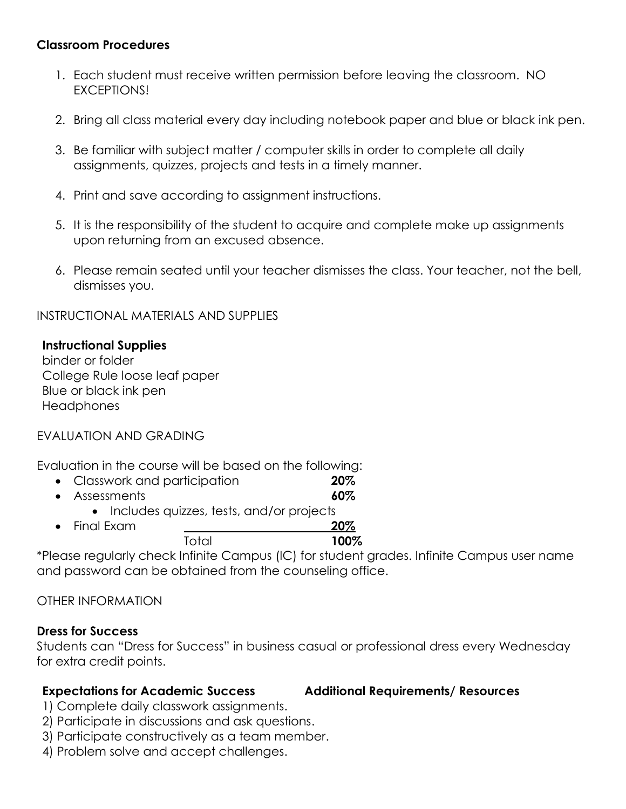#### **Classroom Procedures**

- 1. Each student must receive written permission before leaving the classroom. NO EXCEPTIONS!
- 2. Bring all class material every day including notebook paper and blue or black ink pen.
- 3. Be familiar with subject matter / computer skills in order to complete all daily assignments, quizzes, projects and tests in a timely manner.
- 4. Print and save according to assignment instructions.
- 5. It is the responsibility of the student to acquire and complete make up assignments upon returning from an excused absence.
- 6. Please remain seated until your teacher dismisses the class. Your teacher, not the bell, dismisses you.

INSTRUCTIONAL MATERIALS AND SUPPLIES

#### **Instructional Supplies**

binder or folder College Rule loose leaf paper Blue or black ink pen **Headphones** 

#### EVALUATION AND GRADING

Evaluation in the course will be based on the following:

- Classwork and participation **20%**
- Assessments **60%**
	- Includes quizzes, tests, and/or projects
- Final Exam **20%** Total **100%**

\*Please regularly check Infinite Campus (IC) for student grades. Infinite Campus user name and password can be obtained from the counseling office.

OTHER INFORMATION

#### **Dress for Success**

Students can "Dress for Success" in business casual or professional dress every Wednesday for extra credit points.

#### **Expectations for Academic Success Additional Requirements/ Resources**

- 1) Complete daily classwork assignments.
- 2) Participate in discussions and ask questions.
- 3) Participate constructively as a team member.
- 4) Problem solve and accept challenges.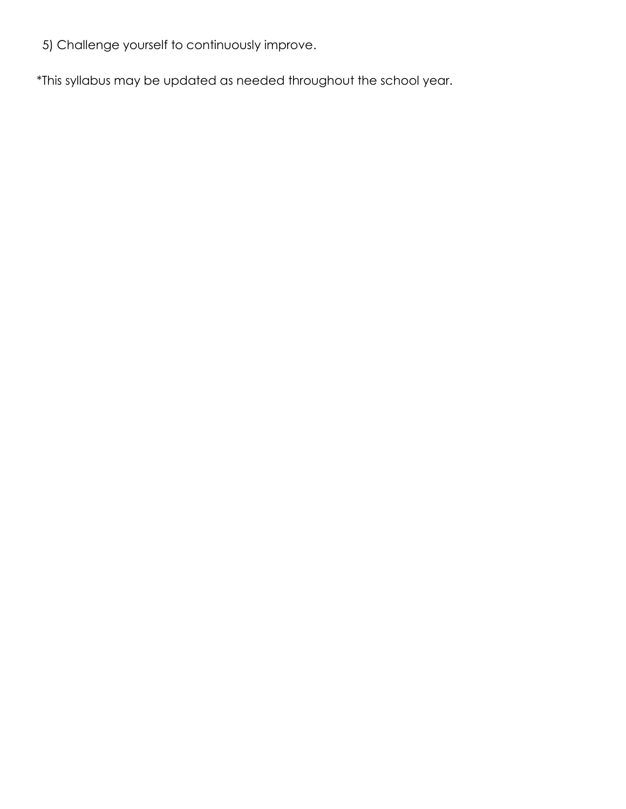5) Challenge yourself to continuously improve.

\*This syllabus may be updated as needed throughout the school year.